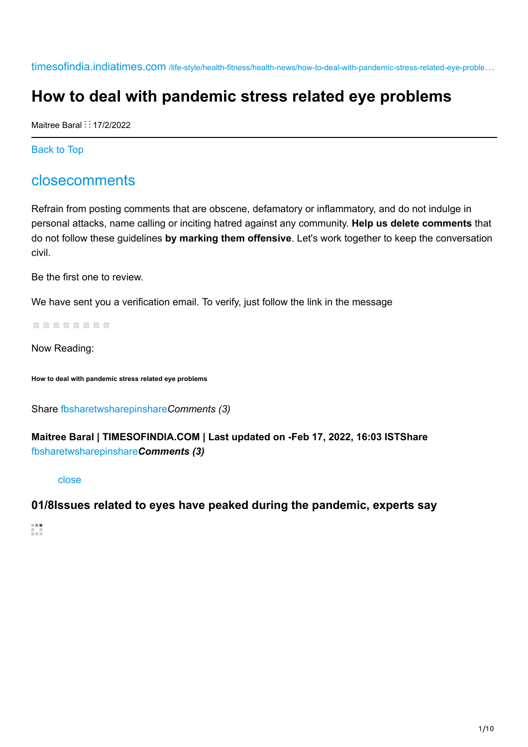timesofindia.indiatimes.com /life-style/health-fitness/health-news/how-to-deal-with-pandemic-stress-related-eye-proble…

# **How to deal with pandemic stress related eye problems**

Maitree Baral :: 17/2/2022

Back to Top

## closecomments

Refrain from posting comments that are obscene, defamatory or inflammatory, and do not indulge in personal attacks, name calling or inciting hatred against any community. **Help us delete comments** that do not follow these guidelines **by marking them offensive**. Let's work together to keep the conversation civil.

Be the first one to review.

We have sent you a verification email. To verify, just follow the link in the message

88888888

Now Reading:

**How to deal with pandemic stress related eye problems**

Share fbsharetwsharepinshare*Comments (3)*

### **Maitree Baral | TIMESOFINDIA.COM | Last updated on -Feb 17, 2022, 16:03 ISTShare** fbsharetwsharepinshare*Comments (3)*

close

#### **01/8Issues related to eyes have peaked during the pandemic, experts say**

镇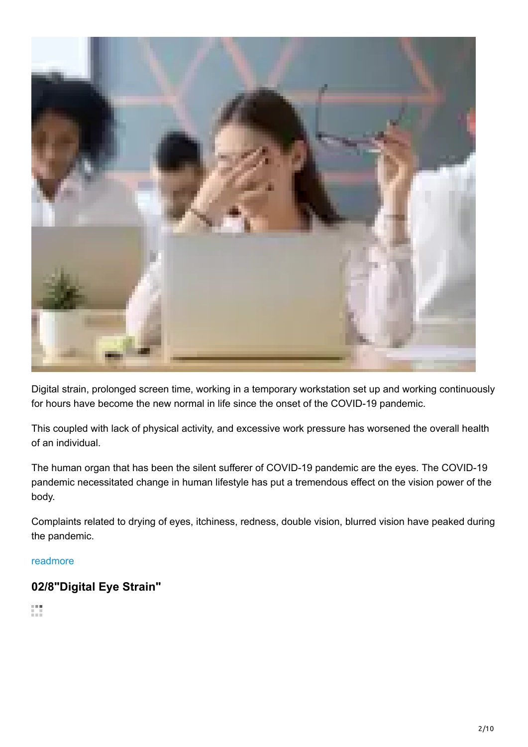

Digital strain, prolonged screen time, working in a temporary workstation set up and working continuously for hours have become the new normal in life since the onset of the COVID-19 pandemic.

This coupled with lack of physical activity, and excessive work pressure has worsened the overall health of an individual.

The human organ that has been the silent sufferer of COVID-19 pandemic are the eyes. The COVID-19 pandemic necessitated change in human lifestyle has put a tremendous effect on the vision power of the body.

Complaints related to drying of eyes, itchiness, redness, double vision, blurred vision have peaked during the pandemic.

#### readmore

## **02/8"Digital Eye Strain"**

 $\mathbb{C}^{\times}_{\mathbb{C}}$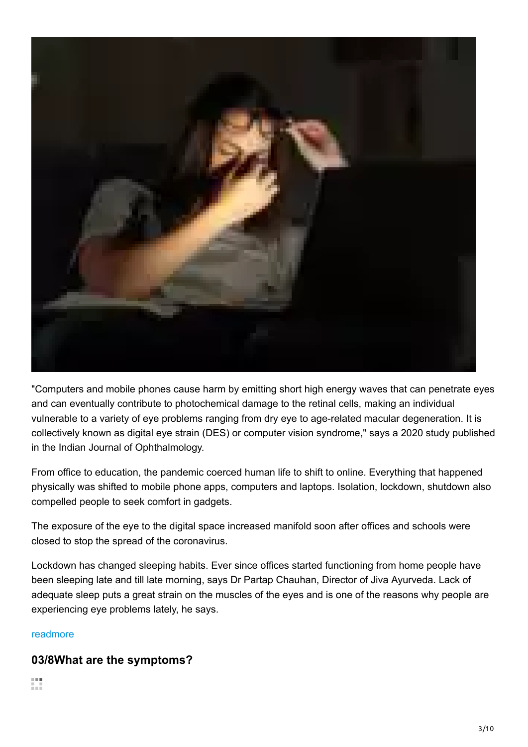

"Computers and mobile phones cause harm by emitting short high energy waves that can penetrate eyes and can eventually contribute to photochemical damage to the retinal cells, making an individual vulnerable to a variety of eye problems ranging from dry eye to age-related macular degeneration. It is collectively known as digital eye strain (DES) or computer vision syndrome," says a 2020 study published in the Indian Journal of Ophthalmology.

From office to education, the pandemic coerced human life to shift to online. Everything that happened physically was shifted to mobile phone apps, computers and laptops. Isolation, lockdown, shutdown also compelled people to seek comfort in gadgets.

The exposure of the eye to the digital space increased manifold soon after offices and schools were closed to stop the spread of the coronavirus.

Lockdown has changed sleeping habits. Ever since offices started functioning from home people have been sleeping late and till late morning, says Dr Partap Chauhan, Director of Jiva Ayurveda. Lack of adequate sleep puts a great strain on the muscles of the eyes and is one of the reasons why people are experiencing eye problems lately, he says.

#### readmore

## **03/8What are the symptoms?**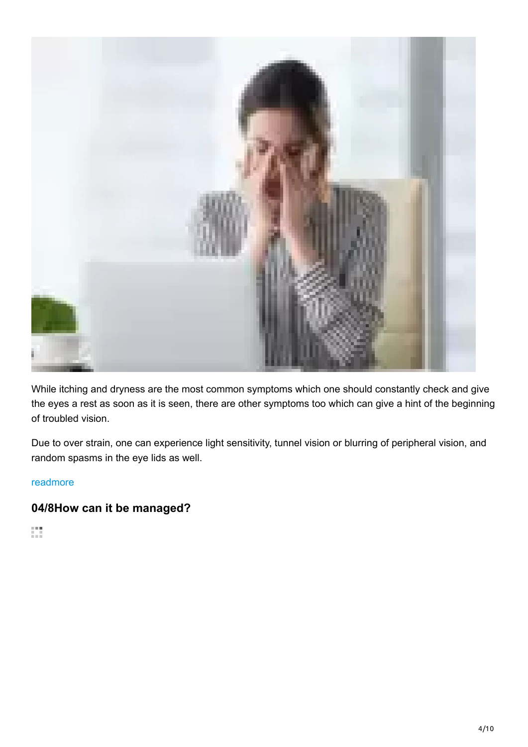

While itching and dryness are the most common symptoms which one should constantly check and give the eyes a rest as soon as it is seen, there are other symptoms too which can give a hint of the beginning of troubled vision.

Due to over strain, one can experience light sensitivity, tunnel vision or blurring of peripheral vision, and random spasms in the eye lids as well.

#### readmore

## **04/8How can it be managed?**

 $\frac{1}{2}$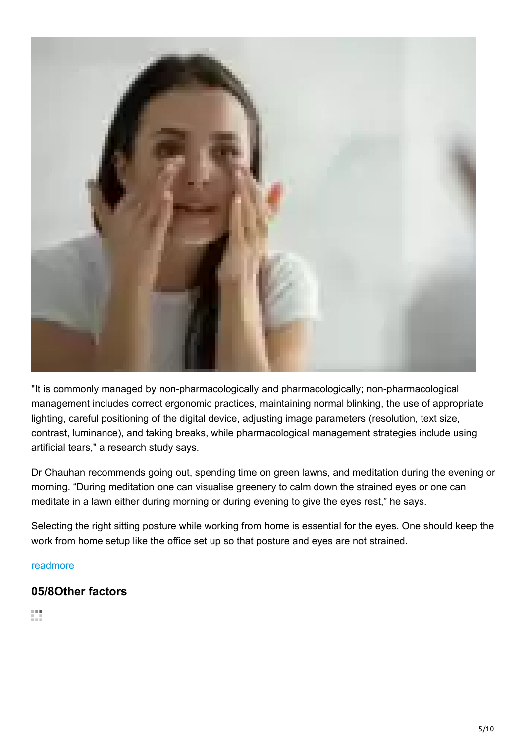

"It is commonly managed by non-pharmacologically and pharmacologically; non-pharmacological management includes correct ergonomic practices, maintaining normal blinking, the use of appropriate lighting, careful positioning of the digital device, adjusting image parameters (resolution, text size, contrast, luminance), and taking breaks, while pharmacological management strategies include using artificial tears," a research study says.

Dr Chauhan recommends going out, spending time on green lawns, and meditation during the evening or morning. "During meditation one can visualise greenery to calm down the strained eyes or one can meditate in a lawn either during morning or during evening to give the eyes rest," he says.

Selecting the right sitting posture while working from home is essential for the eyes. One should keep the work from home setup like the office set up so that posture and eyes are not strained.

#### readmore

## **05/8Other factors**

镇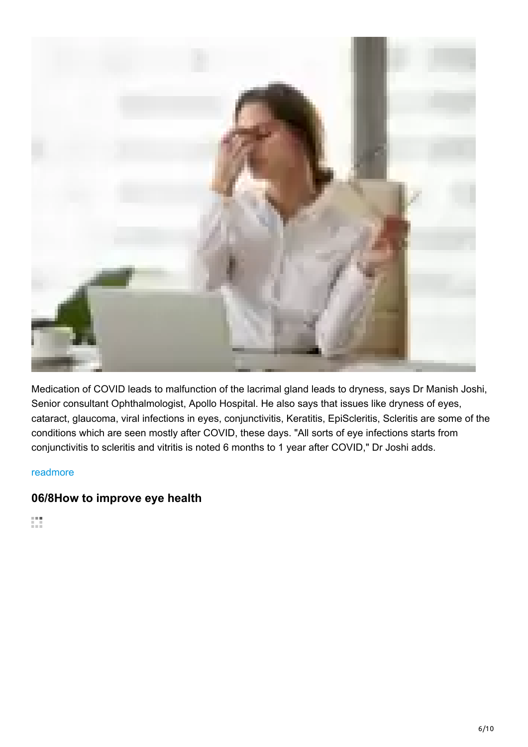

Medication of COVID leads to malfunction of the lacrimal gland leads to dryness, says Dr Manish Joshi, Senior consultant Ophthalmologist, Apollo Hospital. He also says that issues like dryness of eyes, cataract, glaucoma, viral infections in eyes, conjunctivitis, Keratitis, EpiScleritis, Scleritis are some of the conditions which are seen mostly after COVID, these days. "All sorts of eye infections starts from conjunctivitis to scleritis and vitritis is noted 6 months to 1 year after COVID," Dr Joshi adds.

#### readmore

## **06/8How to improve eye health**

Ø.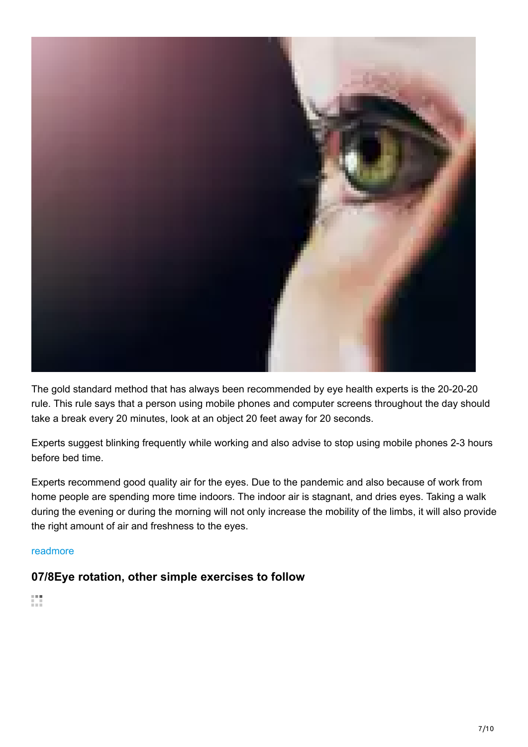

The gold standard method that has always been recommended by eye health experts is the 20-20-20 rule. This rule says that a person using mobile phones and computer screens throughout the day should take a break every 20 minutes, look at an object 20 feet away for 20 seconds.

Experts suggest blinking frequently while working and also advise to stop using mobile phones 2-3 hours before bed time.

Experts recommend good quality air for the eyes. Due to the pandemic and also because of work from home people are spending more time indoors. The indoor air is stagnant, and dries eyes. Taking a walk during the evening or during the morning will not only increase the mobility of the limbs, it will also provide the right amount of air and freshness to the eyes.

#### readmore

## **07/8Eye rotation, other simple exercises to follow**

Ø.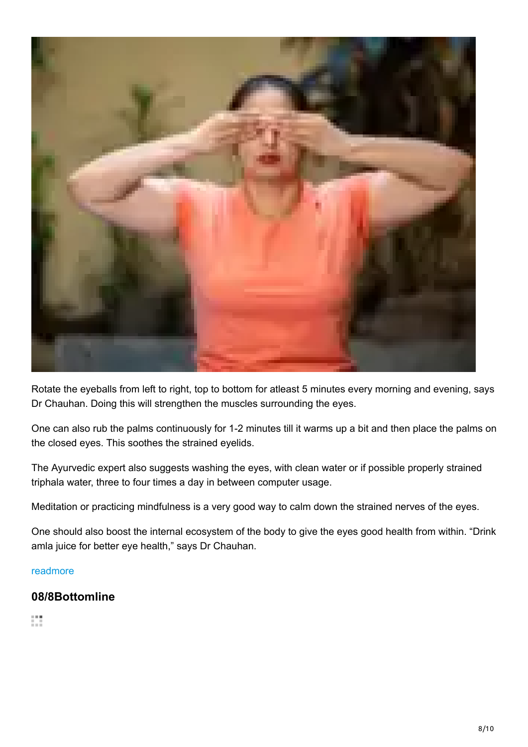

Rotate the eyeballs from left to right, top to bottom for atleast 5 minutes every morning and evening, says Dr Chauhan. Doing this will strengthen the muscles surrounding the eyes.

One can also rub the palms continuously for 1-2 minutes till it warms up a bit and then place the palms on the closed eyes. This soothes the strained eyelids.

The Ayurvedic expert also suggests washing the eyes, with clean water or if possible properly strained triphala water, three to four times a day in between computer usage.

Meditation or practicing mindfulness is a very good way to calm down the strained nerves of the eyes.

One should also boost the internal ecosystem of the body to give the eyes good health from within. "Drink amla juice for better eye health," says Dr Chauhan.

#### readmore

## **08/8Bottomline**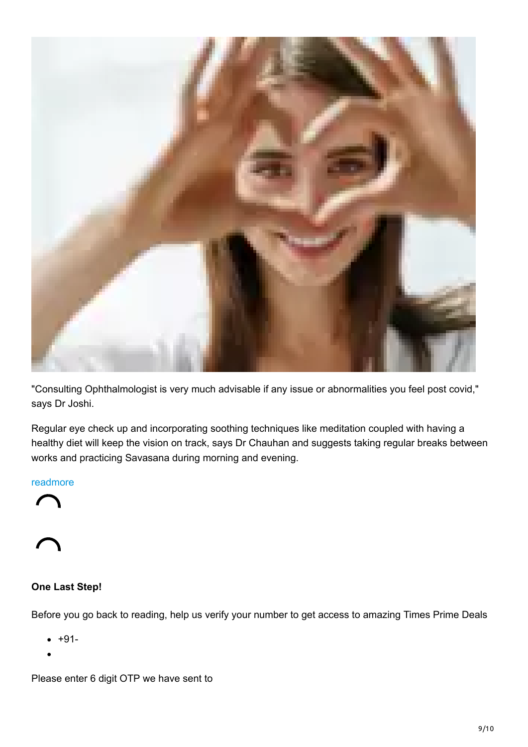

"Consulting Ophthalmologist is very much advisable if any issue or abnormalities you feel post covid," says Dr Joshi.

Regular eye check up and incorporating soothing techniques like meditation coupled with having a healthy diet will keep the vision on track, says Dr Chauhan and suggests taking regular breaks between works and practicing Savasana during morning and evening.

#### readmore



## **One Last Step!**

Before you go back to reading, help us verify your number to get access to amazing Times Prime Deals

- +91-
- 

Please enter 6 digit OTP we have sent to